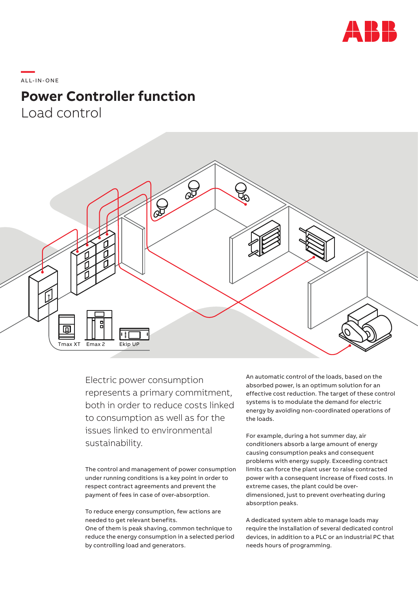

\_\_\_\_\_<br>ALL-IN-ONE

## **Power Controller function**

Load control



Electric power consumption represents a primary commitment, both in order to reduce costs linked to consumption as well as for the issues linked to environmental sustainability.

The control and management of power consumption under running conditions is a key point in order to respect contract agreements and prevent the payment of fees in case of over-absorption.

To reduce energy consumption, few actions are needed to get relevant benefits. One of them is peak shaving, common technique to reduce the energy consumption in a selected period by controlling load and generators.

An automatic control of the loads, based on the absorbed power, is an optimum solution for an effective cost reduction. The target of these control systems is to modulate the demand for electric energy by avoiding non-coordinated operations of the loads.

For example, during a hot summer day, air conditioners absorb a large amount of energy causing consumption peaks and consequent problems with energy supply. Exceeding contract limits can force the plant user to raise contracted power with a consequent increase of fixed costs. In extreme cases, the plant could be overdimensioned, just to prevent overheating during absorption peaks.

A dedicated system able to manage loads may require the installation of several dedicated control devices, in addition to a PLC or an industrial PC that needs hours of programming.